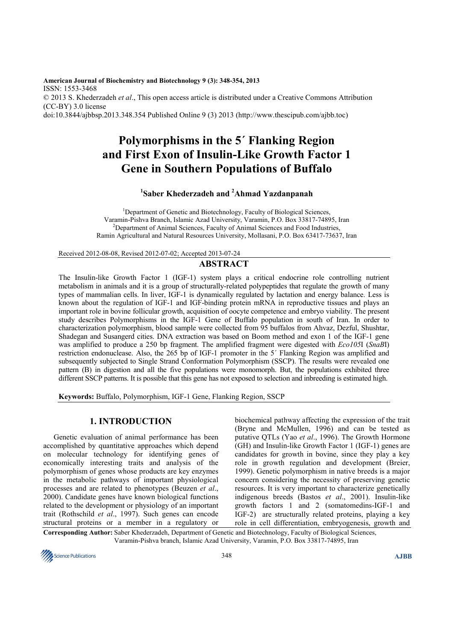**American Journal of Biochemistry and Biotechnology 9 (3): 348-354, 2013**  ISSN: 1553-3468 © 2013 S. Khederzadeh *et al*., This open access article is distributed under a Creative Commons Attribution (CC-BY) 3.0 license doi:10.3844/ajbbsp.2013.348.354 Published Online 9 (3) 2013 (http://www.thescipub.com/ajbb.toc)

# **Polymorphisms in the 5´ Flanking Region and First Exon of Insulin-Like Growth Factor 1 Gene in Southern Populations of Buffalo**

# **1 Saber Khederzadeh and <sup>2</sup>Ahmad Yazdanpanah**

<sup>1</sup>Department of Genetic and Biotechnology, Faculty of Biological Sciences, Varamin-Pishva Branch, Islamic Azad University, Varamin, P.O. Box 33817-74895, Iran <sup>2</sup>Department of Animal Sciences, Faculty of Animal Sciences and Food Industries, Ramin Agricultural and Natural Resources University, Mollasani, P.O. Box 63417-73637, Iran

Received 2012-08-08, Revised 2012-07-02; Accepted 2013-07-24

## **ABSTRACT**

The Insulin-like Growth Factor 1 (IGF-1) system plays a critical endocrine role controlling nutrient metabolism in animals and it is a group of structurally-related polypeptides that regulate the growth of many types of mammalian cells. In liver, IGF-1 is dynamically regulated by lactation and energy balance. Less is known about the regulation of IGF-1 and IGF-binding protein mRNA in reproductive tissues and plays an important role in bovine follicular growth, acquisition of oocyte competence and embryo viability. The present study describes Polymorphisms in the IGF-1 Gene of Buffalo population in south of Iran. In order to characterization polymorphism, blood sample were collected from 95 buffalos from Ahvaz, Dezful, Shushtar, Shadegan and Susangerd cities. DNA extraction was based on Boom method and exon 1 of the IGF-1 gene was amplified to produce a 250 bp fragment. The amplified fragment were digested with *Eco105*I (*SnaB*I) restriction endonuclease. Also, the 265 bp of IGF-1 promoter in the 5´ Flanking Region was amplified and subsequently subjected to Single Strand Conformation Polymorphism (SSCP). The results were revealed one pattern (B) in digestion and all the five populations were monomorph. But, the populations exhibited three different SSCP patterns. It is possible that this gene has not exposed to selection and inbreeding is estimated high.

**Keywords:** Buffalo, Polymorphism, IGF-1 Gene, Flanking Region, SSCP

## **1. INTRODUCTION**

Genetic evaluation of animal performance has been accomplished by quantitative approaches which depend on molecular technology for identifying genes of economically interesting traits and analysis of the polymorphism of genes whose products are key enzymes in the metabolic pathways of important physiological processes and are related to phenotypes (Beuzen *et al*., 2000). Candidate genes have known biological functions related to the development or physiology of an important trait (Rothschild *et al*., 1997). Such genes can encode structural proteins or a member in a regulatory or

biochemical pathway affecting the expression of the trait (Bryne and McMullen, 1996) and can be tested as putative QTLs (Yao *et al*., 1996). The Growth Hormone (GH) and Insulin-like Growth Factor 1 (IGF-1) genes are candidates for growth in bovine, since they play a key role in growth regulation and development (Breier, 1999). Genetic polymorphism in native breeds is a major concern considering the necessity of preserving genetic resources. It is very important to characterize genetically indigenous breeds (Bastos *et al*., 2001). Insulin-like growth factors 1 and 2 (somatomedins-IGF-1 and IGF-2) are structurally related proteins, playing a key role in cell differentiation, embryogenesis, growth and

**Corresponding Author:** Saber Khederzadeh, Department of Genetic and Biotechnology, Faculty of Biological Sciences, Varamin-Pishva branch, Islamic Azad University, Varamin, P.O. Box 33817-74895, Iran

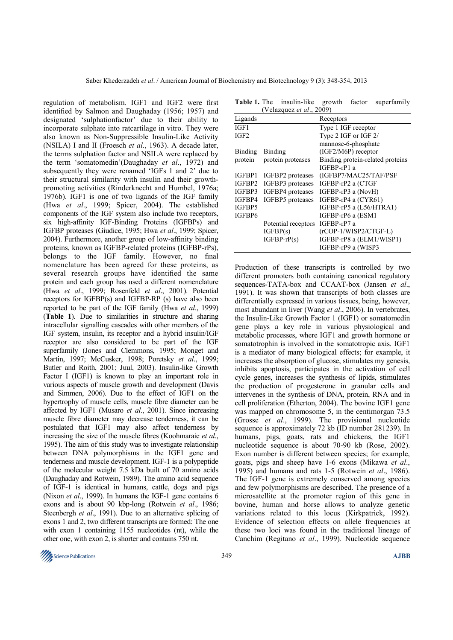regulation of metabolism. IGF1 and IGF2 were first identified by Salmon and Daughaday (1956; 1957) and designated 'sulphationfactor' due to their ability to incorporate sulphate into ratcartilage in vitro. They were also known as Non-Suppressible Insulin-Like Activity (NSILA) I and II (Froesch *et al*., 1963). A decade later, the terms sulphation factor and NSILA were replaced by the term 'somatomedin'(Daughaday *et al*., 1972) and subsequently they were renamed 'IGFs 1 and 2' due to their structural similarity with insulin and their growthpromoting activities (Rinderknecht and Humbel, 1976a; 1976b). IGF1 is one of two ligands of the IGF family (Hwa *et al*., 1999; Spicer, 2004). The established components of the IGF system also include two receptors, six high-affinity IGF-Binding Proteins (IGFBPs) and IGFBP proteases (Giudice, 1995; Hwa *et al*., 1999; Spicer, 2004). Furthermore, another group of low-affinity binding proteins, known as IGFBP-related proteins (IGFBP-rPs), belongs to the IGF family. However, no final nomenclature has been agreed for these proteins, as several research groups have identified the same protein and each group has used a different nomenclature (Hwa *et al*., 1999; Rosenfeld *et al*., 2001). Potential receptors for IGFBP(s) and IGFBP-RP (s) have also been reported to be part of the IGF family (Hwa *et al*., 1999) (**Table 1**). Due to similarities in structure and sharing intracellular signalling cascades with other members of the IGF system, insulin, its receptor and a hybrid insulin/IGF receptor are also considered to be part of the IGF superfamily (Jones and Clemmons, 1995; Monget and Martin, 1997; McCusker, 1998; Poretsky *et al*., 1999; Butler and Roith, 2001; Juul, 2003). Insulin-like Growth Factor I (IGF1) is known to play an important role in various aspects of muscle growth and development (Davis and Simmen, 2006). Due to the effect of IGF1 on the hypertrophy of muscle cells, muscle fibre diameter can be affected by IGF1 (Musaro *et al*., 2001). Since increasing muscle fibre diameter may decrease tenderness, it can be postulated that IGF1 may also affect tenderness by increasing the size of the muscle fibres (Koohmaraie *et al*., 1995). The aim of this study was to investigate relationship between DNA polymorphisms in the IGF1 gene and tenderness and muscle development. IGF-1 is a polypeptide of the molecular weight 7.5 kDa built of 70 amino acids (Daughaday and Rotwein, 1989). The amino acid sequence of IGF-1 is identical in humans, cattle, dogs and pigs (Nixon *et al*., 1999). In humans the IGF-1 gene contains 6 exons and is about 90 kbp-long (Rotwein *et al*., 1986; Steenbergh *et al.*, 1991). Due to an alternative splicing of exons 1 and 2, two different transcripts are formed: The one with exon 1 containing 1155 nucleotides (nt), while the other one, with exon 2, is shorter and contains 750 nt.

Table 1. The insulin-like growth factor superfamily (Velazquez *et al*., 2009)

|                | $\frac{1}{2}$       |                                  |
|----------------|---------------------|----------------------------------|
| Ligands        |                     | Receptors                        |
| IGF1           |                     | Type 1 IGF receptor              |
| IGF2           |                     | Type 2 IGF or IGF $2/$           |
|                |                     | mannose-6-phosphate              |
| <b>Binding</b> | Binding             | $(IGF2/M6P)$ receptor            |
| protein        | protein proteases   | Binding protein-related proteins |
|                |                     | IGFBP-rP1 a                      |
| IGFBP1         | IGFBP2 proteases    | (IGFBP7/MAC25/TAF/PSF            |
| IGFBP2         | IGFBP3 proteases    | IGFBP-rP2 a (CTGF                |
| IGFBP3         | IGFBP4 proteases    | IGFBP-rP3 a (NovH)               |
| IGFBP4         | IGFBP5 proteases    | IGFBP-rP4 a (CYR61)              |
| IGFBP5         |                     | IGFBP-rP5 a (L56/HTRA1)          |
| IGFBP6         |                     | IGFBP-rP6 a (ESM1                |
|                | Potential receptors | $IGFBP-rP7a$                     |
|                | IGFBP(s)            | $(rcOP-1/WISP2/CTGF-L)$          |
|                | $IGFBP-rP(s)$       | IGFBP-rP8 a (ELM1/WISP1)         |
|                |                     | IGFBP-rP9 a (WISP3               |

Production of these transcripts is controlled by two different promoters both containing canonical regulatory sequences-TATA-box and CCAAT-box (Jansen *et al*., 1991). It was shown that transcripts of both classes are differentially expressed in various tissues, being, however, most abundant in liver (Wang *et al*., 2006). In vertebrates, the Insulin-Like Growth Factor 1 (IGF1) or somatomedin gene plays a key role in various physiological and metabolic processes, where IGF1 and growth hormone or somatotrophin is involved in the somatotropic axis. IGF1 is a mediator of many biological effects; for example, it increases the absorption of glucose, stimulates my genesis, inhibits apoptosis, participates in the activation of cell cycle genes, increases the synthesis of lipids, stimulates the production of progesterone in granular cells and intervenes in the synthesis of DNA, protein, RNA and in cell proliferation (Etherton, 2004). The bovine IGF1 gene was mapped on chromosome 5, in the centimorgan 73.5 (Grosse *et al*., 1999). The provisional nucleotide sequence is approximately 72 kb (ID number 281239). In humans, pigs, goats, rats and chickens, the IGF1 nucleotide sequence is about 70-90 kb (Rose, 2002). Exon number is different between species; for example, goats, pigs and sheep have 1-6 exons (Mikawa *et al*., 1995) and humans and rats 1-5 (Rotwein *et al*., 1986). The IGF-1 gene is extremely conserved among species and few polymorphisms are described. The presence of a microsatellite at the promoter region of this gene in bovine, human and horse allows to analyze genetic variations related to this locus (Kirkpatrick, 1992). Evidence of selection effects on allele frequencies at these two loci was found in the traditional lineage of Canchim (Regitano *et al*., 1999). Nucleotide sequence

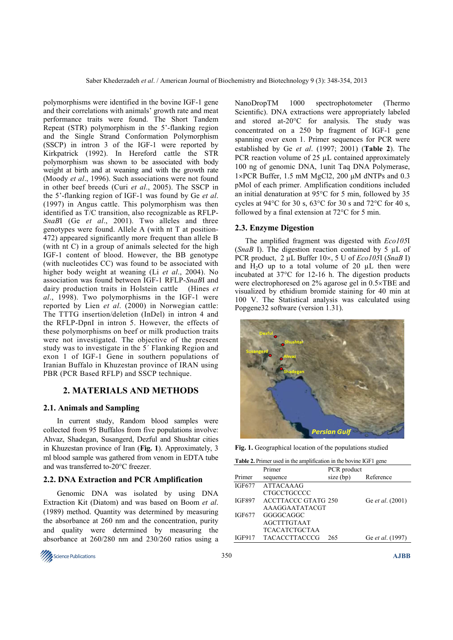polymorphisms were identified in the bovine IGF-1 gene and their correlations with animals' growth rate and meat performance traits were found. The Short Tandem Repeat (STR) polymorphism in the 5'-flanking region and the Single Strand Conformation Polymorphism (SSCP) in intron 3 of the IGF-1 were reported by Kirkpatrick (1992). In Hereford cattle the STR polymorphism was shown to be associated with body weight at birth and at weaning and with the growth rate (Moody *et al*., 1996). Such associations were not found in other beef breeds (Curi *et al*., 2005). The SSCP in the 5'-flanking region of IGF-1 was found by Ge *et al*. (1997) in Angus cattle. This polymorphism was then identified as T/C transition, also recognizable as RFLP-*SnaB*I (Ge *et al*., 2001). Two alleles and three genotypes were found. Allele A (with nt T at position-472) appeared significantly more frequent than allele B (with nt C) in a group of animals selected for the high IGF-1 content of blood. However, the BB genotype (with nucleotides CC) was found to be associated with higher body weight at weaning (Li *et al*., 2004). No association was found between IGF-1 RFLP-*SnaB*I and dairy production traits in Holstein cattle (Hines *et al*., 1998). Two polymorphisms in the IGF-1 were reported by Lien *et al*. (2000) in Norwegian cattle: The TTTG insertion/deletion (InDel) in intron 4 and the RFLP-DpnI in intron 5. However, the effects of these polymorphisms on beef or milk production traits were not investigated. The objective of the present study was to investigate in the 5´ Flanking Region and exon 1 of IGF-1 Gene in southern populations of Iranian Buffalo in Khuzestan province of IRAN using PBR (PCR Based RFLP) and SSCP technique.

#### **2. MATERIALS AND METHODS**

#### **2.1. Animals and Sampling**

 In current study, Random blood samples were collected from 95 Buffalos from five populations involve: Ahvaz, Shadegan, Susangerd, Dezful and Shushtar cities in Khuzestan province of Iran (**Fig. 1**). Approximately, 3 ml blood sample was gathered from venom in EDTA tube and was transferred to-20°C freezer.

#### **2.2. DNA Extraction and PCR Amplification**

 Genomic DNA was isolated by using DNA Extraction Kit (Diatom) and was based on Boom *et al*. (1989) method. Quantity was determined by measuring the absorbance at 260 nm and the concentration, purity and quality were determined by measuring the absorbance at 260/280 nm and 230/260 ratios using a



NanoDropTM 1000 spectrophotometer (Thermo Scientific). DNA extractions were appropriately labeled and stored at-20°C for analysis. The study was concentrated on a 250 bp fragment of IGF-1 gene spanning over exon 1. Primer sequences for PCR were established by Ge *et al*. (1997; 2001) (**Table 2**). The PCR reaction volume of 25  $\mu$ L contained approximately 100 ng of genomic DNA, 1unit Taq DNA Polymerase, 1×PCR Buffer, 1.5 mM MgCl2, 200 µM dNTPs and 0.3 pMol of each primer. Amplification conditions included an initial denaturation at 95°C for 5 min, followed by 35 cycles at 94°C for 30 s, 63°C for 30 s and 72°C for 40 s, followed by a final extension at 72°C for 5 min.

#### **2.3. Enzyme Digestion**

The amplified fragment was digested with *Eco105*I (*SnaB* I). The digestion reaction contained by 5 µL of PCR product, 2 µL Buffer 10×, 5 U of *Eco105*I (*SnaB* I) and  $H_2O$  up to a total volume of 20  $\mu$ L then were incubated at 37°C for 12-16 h. The digestion products were electrophoresed on 2% agarose gel in 0.5×TBE and visualized by ethidium bromide staining for 40 min at 100 V. The Statistical analysis was calculated using Popgene32 software (version 1.31).



**Fig. 1.** Geographical location of the populations studied

|  |  | <b>Table 2.</b> Primer used in the amplification in the bovine IGF1 gene |  |
|--|--|--------------------------------------------------------------------------|--|
|  |  |                                                                          |  |

|               | Primer                     | PCR product |                  |
|---------------|----------------------------|-------------|------------------|
| Primer        | sequence                   | size (bp)   | Reference        |
| <b>IGF677</b> | <b>ATTACAAAG</b>           |             |                  |
|               | <b>CTGCCTGCCCC</b>         |             |                  |
| <b>IGF897</b> | <b>ACCTTACCC GTATG 250</b> |             | Ge et al. (2001) |
|               | AAAGGAATATACGT             |             |                  |
| <b>IGF677</b> | GGGGCAGGC                  |             |                  |
|               | <b>AGCTTTGTAAT</b>         |             |                  |
|               | <b>TCACATCTGCTAA</b>       |             |                  |
| <b>IGF917</b> | <b>TACACCTTACCCG</b>       | 265         | Ge et al. (1997) |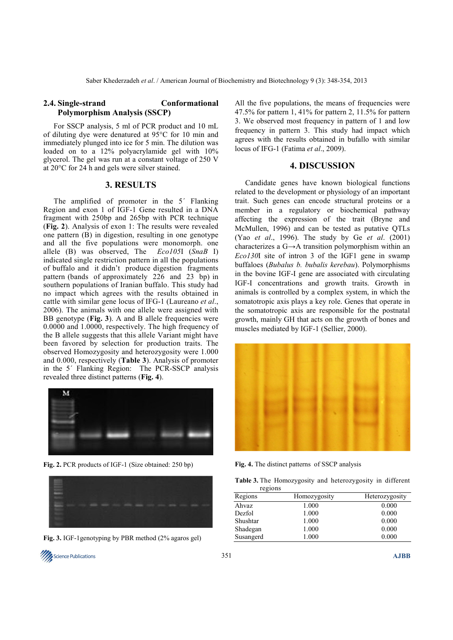## **2.4. Single-strand Conformational Polymorphism Analysis (SSCP)**

For SSCP analysis, 5 ml of PCR product and 10 mL of diluting dye were denatured at 95°C for 10 min and immediately plunged into ice for 5 min. The dilution was loaded on to a 12% polyacrylamide gel with 10% glycerol. The gel was run at a constant voltage of 250 V at 20°C for 24 h and gels were silver stained.

#### **3. RESULTS**

The amplified of promoter in the 5´ Flanking Region and exon 1 of IGF-1 Gene resulted in a DNA fragment with 250bp and 265bp with PCR technique (**Fig. 2**). Analysis of exon 1: The results were revealed one pattern (B) in digestion, resulting in one genotype and all the five populations were monomorph. one allele (B) was observed, The *Eco105*I (*SnaB* I) indicated single restriction pattern in all the populations of buffalo and it didn't produce digestion fragments pattern (bands of approximately 226 and 23 bp) in southern populations of Iranian buffalo. This study had no impact which agrees with the results obtained in cattle with similar gene locus of IFG-1 (Laureano *et al*., 2006). The animals with one allele were assigned with BB genotype (**Fig. 3**). A and B allele frequencies were 0.0000 and 1.0000, respectively. The high frequency of the B allele suggests that this allele Variant might have been favored by selection for production traits. The observed Homozygosity and heterozygosity were 1.000 and 0.000, respectively (**Table 3**). Analysis of promoter in the 5´ Flanking Region: The PCR-SSCP analysis revealed three distinct patterns (**Fig. 4**).



**Fig. 2.** PCR products of IGF-1 (Size obtained: 250 bp)



**Fig. 3.** IGF-1genotyping by PBR method (2% agaros gel)

All the five populations, the means of frequencies were 47.5% for pattern 1, 41% for pattern 2, 11.5% for pattern 3. We observed most frequency in pattern of 1 and low frequency in pattern 3. This study had impact which agrees with the results obtained in bufallo with similar locus of IFG-1 (Fatima *et al*., 2009).

## **4. DISCUSSION**

Candidate genes have known biological functions related to the development or physiology of an important trait. Such genes can encode structural proteins or a member in a regulatory or biochemical pathway affecting the expression of the trait (Bryne and McMullen, 1996) and can be tested as putative QTLs (Yao *et al*., 1996). The study by Ge *et al*. (2001) characterizes a G→A transition polymorphism within an *Eco130*I site of intron 3 of the IGF1 gene in swamp buffaloes (*Bubalus b. bubalis kerebau*). Polymorphisms in the bovine IGF-I gene are associated with circulating IGF-I concentrations and growth traits. Growth in animals is controlled by a complex system, in which the somatotropic axis plays a key role. Genes that operate in the somatotropic axis are responsible for the postnatal growth, mainly GH that acts on the growth of bones and muscles mediated by IGF-1 (Sellier, 2000).



**Fig. 4.** The distinct patterns of SSCP analysis

**Table 3.** The Homozygosity and heterozygosity in different

|           | regions |              |                |
|-----------|---------|--------------|----------------|
| Regions   |         | Homozygosity | Heterozygosity |
| Ahvaz     |         | 1.000        | 0.000          |
| Dezfol    |         | 1.000        | 0.000          |
| Shushtar  |         | 1.000        | 0.000          |
| Shadegan  |         | 1.000        | 0.000          |
| Susangerd |         | 1.000        | 0.000          |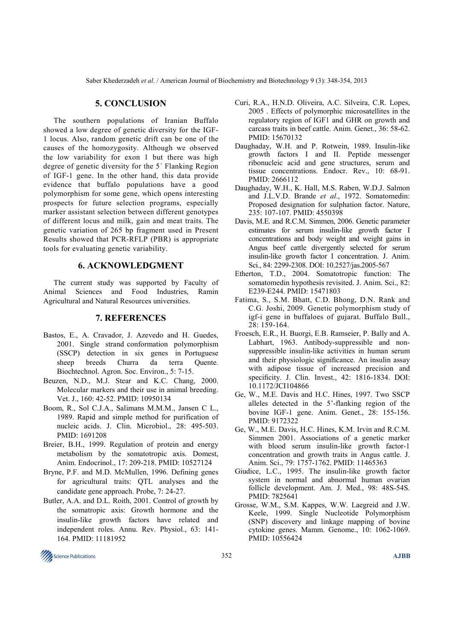Saber Khederzadeh *et al*. / American Journal of Biochemistry and Biotechnology 9 (3): 348-354, 2013

## **5. CONCLUSION**

The southern populations of Iranian Buffalo showed a low degree of genetic diversity for the IGF-1 locus. Also, random genetic drift can be one of the causes of the homozygosity. Although we observed the low variability for exon 1 but there was high degree of genetic diversity for the 5´ Flanking Region of IGF-1 gene. In the other hand, this data provide evidence that buffalo populations have a good polymorphism for some gene, which opens interesting prospects for future selection programs, especially marker assistant selection between different genotypes of different locus and milk, gain and meat traits. The genetic variation of 265 bp fragment used in Present Results showed that PCR-RFLP (PBR) is appropriate tools for evaluating genetic variability.

## **6. ACKNOWLEDGMENT**

The current study was supported by Faculty of Animal Sciences and Food Industries, Ramin Agricultural and Natural Resources universities.

#### **7. REFERENCES**

- Bastos, E., A. Cravador, J. Azevedo and H. Guedes, 2001. Single strand conformation polymorphism (SSCP) detection in six genes in Portuguese sheep breeds Churra da terra Quente. Biochtechnol. Agron. Soc. Environ., 5: 7-15.
- Beuzen, N.D., M.J. Stear and K.C. Chang, 2000. Molecular markers and their use in animal breeding. Vet. J., 160: 42-52. PMID: 10950134
- Boom, R., Sol C.J.A., Salimans M.M.M., Jansen C L., 1989. Rapid and simple method for purification of nucleic acids. J. Clin. Microbiol., 28: 495-503. PMID: 1691208
- Breier, B.H., 1999. Regulation of protein and energy metabolism by the somatotropic axis. Domest, Anim. Endocrinol., 17: 209-218. PMID: 10527124
- Bryne, P.F. and M.D. McMullen, 1996. Defining genes for agricultural traits: QTL analyses and the candidate gene approach. Probe, 7: 24-27.
- Butler, A.A. and D.L. Roith, 2001. Control of growth by the somatropic axis: Growth hormone and the insulin-like growth factors have related and independent roles. Annu. Rev. Physiol., 63: 141- 164. PMID: 11181952
- Curi, R.A., H.N.D. Oliveira, A.C. Silveira, C.R. Lopes, 2005 . Effects of polymorphic microsatellites in the regulatory region of IGF1 and GHR on growth and carcass traits in beef cattle. Anim. Genet., 36: 58-62. PMID: 15670132
- Daughaday, W.H. and P. Rotwein, 1989. Insulin-like growth factors I and II. Peptide messenger ribonucleic acid and gene structures, serum and tissue concentrations. Endocr. Rev., 10: 68-91. PMID: 2666112
- Daughaday, W.H., K. Hall, M.S. Raben, W.D.J. Salmon and J.L.V.D. Brande *et al*., 1972. Somatomedin: Proposed designation for sulphation factor. Nature, 235: 107-107. PMID: 4550398
- Davis, M.E. and R.C.M. Simmen, 2006. Genetic parameter estimates for serum insulin-like growth factor I concentrations and body weight and weight gains in Angus beef cattle divergently selected for serum insulin-like growth factor I concentration. J. Anim. Sci., 84: 2299-2308. DOI: 10.2527/jas.2005-567
- Etherton, T.D., 2004. Somatotropic function: The somatomedin hypothesis revisited. J. Anim. Sci., 82: E239-E244. PMID: 15471803
- Fatima, S., S.M. Bhatt, C.D. Bhong, D.N. Rank and C.G. Joshi, 2009. Genetic polymorphism study of igf-i gene in buffaloes of gujarat. Buffalo Bull., 28: 159-164.
- Froesch, E.R., H. Buorgi, E.B. Ramseier, P. Bally and A. Labhart, 1963. Antibody-suppressible and nonsuppressible insulin-like activities in human serum and their physiologic significance. An insulin assay with adipose tissue of increased precision and specificity. J. Clin. Invest., 42: 1816-1834. DOI: 10.1172/JCI104866
- Ge, W., M.E. Davis and H.C. Hines, 1997. Two SSCP alleles detected in the 5'-flanking region of the bovine IGF-1 gene. Anim. Genet., 28: 155-156. PMID: 9172322
- Ge, W., M.E. Davis, H.C. Hines, K.M. Irvin and R.C.M. Simmen 2001. Associations of a genetic marker with blood serum insulin-like growth factor-1 concentration and growth traits in Angus cattle. J. Anim. Sci., 79: 1757-1762. PMID: 11465363
- Giudice, L.C., 1995. The insulin-like growth factor system in normal and abnormal human ovarian follicle development. Am. J. Med., 98: 48S-54S. PMID: 7825641
- Grosse, W.M., S.M. Kappes, W.W. Laegreid and J.W. Keele, 1999. Single Nucleotide Polymorphism (SNP) discovery and linkage mapping of bovine cytokine genes. Mamm. Genome., 10: 1062-1069. PMID: 10556424

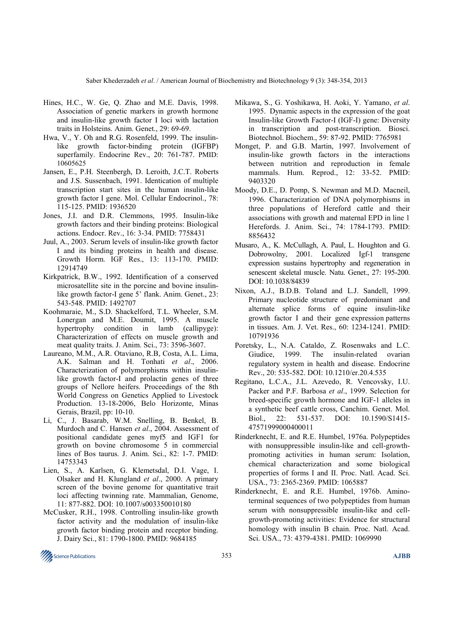Saber Khederzadeh *et al*. / American Journal of Biochemistry and Biotechnology 9 (3): 348-354, 2013

- Hines, H.C., W. Ge, Q. Zhao and M.E. Davis, 1998. Association of genetic markers in growth hormone and insulin-like growth factor I loci with lactation traits in Holsteins. Anim. Genet., 29: 69-69.
- Hwa, V., Y. Oh and R.G. Rosenfeld, 1999. The insulinlike growth factor-binding protein (IGFBP) superfamily. Endocrine Rev., 20: 761-787. PMID: 10605625
- Jansen, E., P.H. Steenbergh, D. Leroith, J.C.T. Roberts and J.S. Sussenbach, 1991. Identication of multiple transcription start sites in the human insulin-like growth factor I gene. Mol. Cellular Endocrinol., 78: 115-125. PMID: 1936520
- Jones, J.I. and D.R. Clemmons, 1995. Insulin-like growth factors and their binding proteins: Biological actions. Endocr. Rev., 16: 3-34. PMID: 7758431
- Juul, A., 2003. Serum levels of insulin-like growth factor I and its binding proteins in health and disease. Growth Horm. IGF Res., 13: 113-170. PMID: 12914749
- Kirkpatrick, B.W., 1992. Identification of a conserved microsatellite site in the porcine and bovine insulinlike growth factor-I gene 5' flank. Anim. Genet., 23: 543-548. PMID: 1492707
- Koohmaraie, M., S.D. Shackelford, T.L. Wheeler, S.M. Lonergan and M.E. Doumit, 1995. A muscle hypertrophy condition in lamb (callipyge): Characterization of effects on muscle growth and meat quality traits. J. Anim. Sci., 73: 3596-3607.
- Laureano, M.M., A.R. Otaviano, R.B, Costa, A.L. Lima, A.K. Salman and H. Tonhati *et al*., 2006. Characterization of polymorphisms within insulinlike growth factor-I and prolactin genes of three groups of Nellore heifers. Proceedings of the 8th World Congress on Genetics Applied to Livestock Production. 13-18-2006, Belo Horizonte, Minas Gerais, Brazil, pp: 10-10.
- Li, C., J. Basarab, W.M. Snelling, B. Benkel, B. Murdoch and C. Hansen *et al*., 2004. Assessment of positional candidate genes myf5 and IGF1 for growth on bovine chromosome 5 in commercial lines of Bos taurus. J. Anim. Sci., 82: 1-7. PMID: 14753343
- Lien, S., A. Karlsen, G. Klemetsdal, D.I. Vage, I. Olsaker and H. Klungland *et al*., 2000. A primary screen of the bovine genome for quantitative trait loci affecting twinning rate. Mammalian, Genome, 11: 877-882. DOI: 10.1007/s003350010180
- McCusker, R.H., 1998. Controlling insulin-like growth factor activity and the modulation of insulin-like growth factor binding protein and receptor binding. J. Dairy Sci., 81: 1790-1800. PMID: 9684185
- Mikawa, S., G. Yoshikawa, H. Aoki, Y. Yamano, *et al*. 1995. Dynamic aspects in the expression of the goat Insulin-like Growth Factor-I (IGF-I) gene: Diversity in transcription and post-transcription. Biosci. Biotechnol. Biochem., 59: 87-92. PMID: 7765981
- Monget, P. and G.B. Martin, 1997. Involvement of insulin-like growth factors in the interactions between nutrition and reproduction in female mammals. Hum. Reprod., 12: 33-52. PMID: 9403320
- Moody, D.E., D. Pomp, S. Newman and M.D. Macneil, 1996. Characterization of DNA polymorphisms in three populations of Hereford cattle and their associations with growth and maternal EPD in line 1 Herefords. J. Anim. Sci., 74: 1784-1793. PMID: 8856432
- Musaro, A., K. McCullagh, A. Paul, L. Houghton and G. Dobrowolny, 2001. Localized Igf-1 transgene expression sustains hypertrophy and regeneration in senescent skeletal muscle. Natu. Genet., 27: 195-200. DOI: 10.1038/84839
- Nixon, A.J., B.D.B. Toland and L.J. Sandell, 1999. Primary nucleotide structure of predominant and alternate splice forms of equine insulin-like growth factor I and their gene expression patterns in tissues. Am. J. Vet. Res., 60: 1234-1241. PMID: 10791936
- Poretsky, L., N.A. Cataldo, Z. Rosenwaks and L.C. Giudice, 1999. The insulin-related ovarian regulatory system in health and disease. Endocrine Rev., 20: 535-582. DOI: 10.1210/er.20.4.535
- Regitano, L.C.A., J.L. Azevedo, R. Vencovsky, I.U. Packer and P.F. Barbosa *et al*., 1999. Selection for breed-specific growth hormone and IGF-1 alleles in a synthetic beef cattle cross, Canchim. Genet. Mol. Biol., 22: 531-537. DOI: 10.1590/S1415- 47571999000400011
- Rinderknecht, E. and R.E. Humbel, 1976a. Polypeptides with nonsuppressible insulin-like and cell-growthpromoting activities in human serum: Isolation, chemical characterization and some biological properties of forms I and II. Proc. Natl. Acad. Sci. USA., 73: 2365-2369. PMID: 1065887
- Rinderknecht, E. and R.E. Humbel, 1976b. Aminoterminal sequences of two polypeptides from human serum with nonsuppressible insulin-like and cellgrowth-promoting activities: Evidence for structural homology with insulin B chain. Proc. Natl. Acad. Sci. USA., 73: 4379-4381. PMID: 1069990